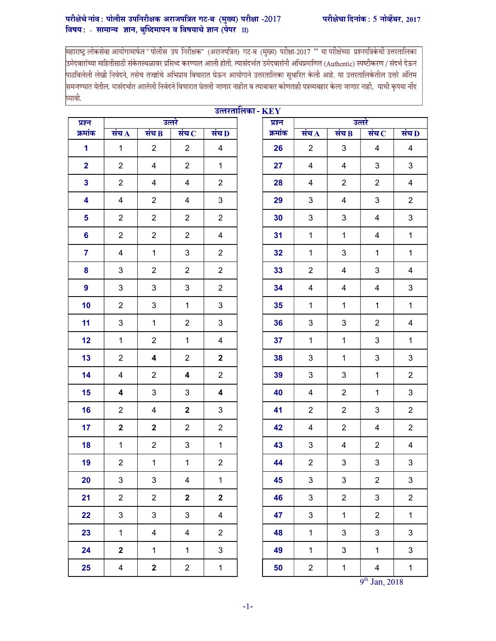## परीक्षेचे नांव: पोलीस उपनिरीक्षक अराजपत्रित गट-ब (मुख्य) परीक्षा -2017 वरीक्षेचा दिनांक: 5 नोव्हेंबर, 2017 विषय: - सामान्य ज्ञान, बुध्दिमापन व विषयाचे ज्ञान $\overrightarrow{$ (पेपर  $\overrightarrow{1}$ II)

महाराष्ट्र लोकसेवा आयोगामार्फत " पोलीस उप निरीक्षक" (अराजपत्रित) गट-ब (मुख्य) परीक्षा-2017 '' या परीक्षेच्या प्रश्नपत्रिकेची उत्तरतालिका<br>|उमेदवारांच्या माहितीसाठी संकेतस्थळावर प्रसिध्द करण्यात आली होती. त्यासंदर् |<br>|पाठविलेली लेखी निवेदने, तसेच तज्ज्ञांचे अभिप्राय विचारात घेऊन आयोगाने उत्तरतालिका सुधारित केली आहे. या उत्तरतालिकेतील उत्तरे अंतिम |<br>|समजण्यात येतील. यासंदर्भात आलेली निवेदने विचारात घेतली जाणार नाहीत व त्याबाबत कोणताही पत्रव्यवहार केला जाणार नाही, याची कृपया नोंद घ्यावी.

|                         |                |                         |                |                         | उत्तरतालिका - $KEY$ |         |                         |                |                         |                           |
|-------------------------|----------------|-------------------------|----------------|-------------------------|---------------------|---------|-------------------------|----------------|-------------------------|---------------------------|
| प्रश्न                  | उत्तरे         |                         |                |                         |                     | प्रश्न  | उत्तरे                  |                |                         |                           |
| क्रमांक                 | सच $\bf A$     | संच $\bf{B}$            | संच $\bf C$    | संच $\bf{D}$            |                     | क्रमांक | संच $\bf{A}$            | संच $\bf{B}$   | संच $\,$                | संच $\bf{D}$              |
| 1                       | $\mathbf{1}$   | 2                       | $\overline{2}$ | 4                       |                     | 26      | 2                       | 3              | 4                       | 4                         |
| $\overline{2}$          | $\overline{2}$ | $\overline{4}$          | $\overline{2}$ | $\mathbf{1}$            |                     | 27      | $\overline{4}$          | 4              | 3                       | $\mathfrak{S}$            |
| $\mathbf{3}$            | $\overline{2}$ | $\overline{4}$          | 4              | $\overline{2}$          |                     | 28      | 4                       | $\overline{c}$ | $\overline{2}$          | 4                         |
| $\overline{\mathbf{4}}$ | $\overline{4}$ | $\overline{2}$          | 4              | $\sqrt{3}$              |                     | 29      | $\mathbf{3}$            | 4              | $\mathbf{3}$            | $\overline{2}$            |
| 5                       | $\overline{2}$ | $\overline{2}$          | $\overline{2}$ | $\overline{2}$          |                     | 30      | $\mathbf{3}$            | 3              | $\overline{\mathbf{4}}$ | $\mathbf{3}$              |
| 6                       | $\overline{2}$ | $\overline{2}$          | $\overline{2}$ | 4                       |                     | 31      | $\mathbf{1}$            | $\mathbf{1}$   | 4                       | $\mathbf{1}$              |
| $\overline{7}$          | $\overline{4}$ | $\mathbf{1}$            | 3              | $\overline{2}$          |                     | 32      | $\mathbf{1}$            | 3              | $\mathbf{1}$            | $\mathbf{1}$              |
| 8                       | 3              | $\overline{2}$          | $\overline{2}$ | $\mathbf{2}$            |                     | 33      | $\overline{2}$          | 4              | 3                       | $\overline{\mathbf{4}}$   |
| 9                       | 3              | $\mathbf{3}$            | $\mathfrak{B}$ | $\overline{2}$          |                     | 34      | 4                       | 4              | $\overline{\mathbf{4}}$ | $\mathfrak{S}$            |
| 10                      | $\overline{2}$ | $\sqrt{3}$              | $\mathbf{1}$   | $\mathsf 3$             |                     | 35      | $\mathbf{1}$            | $\mathbf{1}$   | $\mathbf{1}$            | $\mathbf{1}$              |
| 11                      | 3              | $\mathbf{1}$            | $\overline{2}$ | $\mathfrak{S}$          |                     | 36      | 3                       | 3              | $\overline{2}$          | 4                         |
| 12                      | $\mathbf{1}$   | $\overline{2}$          | $\mathbf{1}$   | $\overline{\mathbf{4}}$ |                     | 37      | $\mathbf{1}$            | $\mathbf{1}$   | 3                       | $\mathbf{1}$              |
| 13                      | $\overline{2}$ | $\overline{\mathbf{4}}$ | $\overline{2}$ | $\boldsymbol{2}$        |                     | 38      | 3                       | $\mathbf{1}$   | 3                       | $\ensuremath{\mathsf{3}}$ |
| 14                      | $\overline{4}$ | $\overline{2}$          | 4              | $\overline{2}$          |                     | 39      | $\mathfrak{B}$          | 3              | $\mathbf{1}$            | $\overline{2}$            |
| 15                      | 4              | $\mathfrak{B}$          | $\mathfrak{B}$ | 4                       |                     | 40      | $\overline{\mathbf{4}}$ | $\overline{2}$ | $\mathbf{1}$            | $\mathfrak{S}$            |
| 16                      | $\overline{2}$ | 4                       | $\mathbf 2$    | 3                       |                     | 41      | $\overline{2}$          | $\overline{2}$ | 3                       | $\overline{2}$            |
| 17                      | $\overline{2}$ | $\mathbf{2}$            | $\overline{2}$ | $\overline{2}$          |                     | 42      | $\overline{4}$          | $\overline{2}$ | $\overline{4}$          | $\overline{2}$            |
| 18                      | $\mathbf{1}$   | $\overline{2}$          | 3              | $\mathbf{1}$            |                     | 43      | 3                       | 4              | $\overline{2}$          | $\overline{\mathbf{4}}$   |
| 19                      | $\overline{2}$ | $\mathbf 1$             | $\mathbf 1$    | $\boldsymbol{2}$        |                     | 44      | $\overline{2}$          | $\mathfrak{S}$ | $\mathbf{3}$            | $\mathbf{3}$              |
| 20                      | $\mathbf{3}$   | $\mathfrak{S}$          | $\overline{4}$ | $\mathbf{1}$            |                     | 45      | 3                       | $\mathfrak{S}$ | $\overline{2}$          | $\mathfrak{S}$            |
| 21                      | $\overline{2}$ | $\overline{2}$          | $\mathbf 2$    | $\mathbf 2$             |                     | 46      | $\mathbf{3}$            | $\overline{2}$ | $\mathbf{3}$            | $\overline{2}$            |
| 22                      | 3              | $\mathbf{3}$            | $\mathbf{3}$   | $\overline{4}$          |                     | 47      | $\mathbf{3}$            | $\mathbf{1}$   | $\overline{2}$          | $\mathbf{1}$              |
| 23                      | $\mathbf{1}$   | 4                       | $\overline{4}$ | $\overline{2}$          |                     | 48      | $\mathbf{1}$            | $\mathfrak{S}$ | 3                       | $\mathbf{3}$              |
| 24                      | $\mathbf{2}$   | $\mathbf 1$             | $\mathbf{1}$   | $\mathfrak{S}$          |                     | 49      | $\mathbf{1}$            | $\mathfrak{S}$ | $\mathbf{1}$            | $\mathfrak{S}$            |
| 25                      | $\overline{4}$ | $\mathbf 2$             | $\overline{2}$ | $\mathbf{1}$            |                     | 50      | $\overline{2}$          | $\mathbf{1}$   | $\overline{\mathbf{4}}$ | $\mathbf{1}$              |

 $9<sup>th</sup>$  Jan, 2018